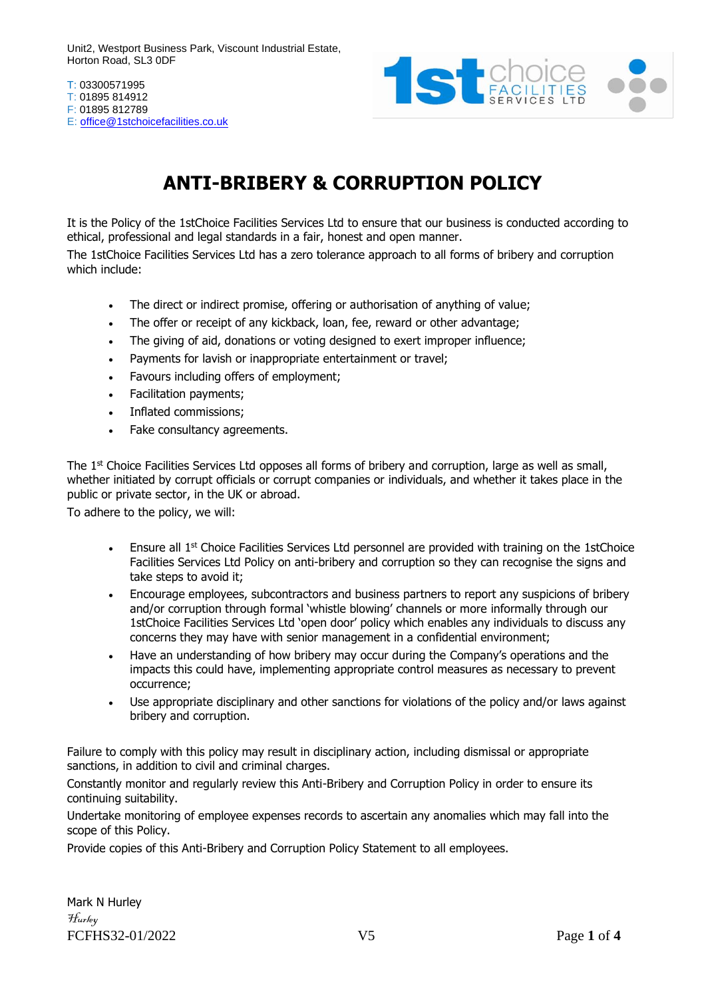

T: 03300571995 T: 01895 814912 F: 01895 812789 E: [office@1stchoicefacilities.co.uk](mailto:office@1stchoicefacilities.co.uk)

# **ANTI-BRIBERY & CORRUPTION POLICY**

It is the Policy of the 1stChoice Facilities Services Ltd to ensure that our business is conducted according to ethical, professional and legal standards in a fair, honest and open manner.

The 1stChoice Facilities Services Ltd has a zero tolerance approach to all forms of bribery and corruption which include:

- The direct or indirect promise, offering or authorisation of anything of value;
- The offer or receipt of any kickback, loan, fee, reward or other advantage;
- The giving of aid, donations or voting designed to exert improper influence;
- Payments for lavish or inappropriate entertainment or travel;
- Favours including offers of employment;
- Facilitation payments;
- Inflated commissions;
- Fake consultancy agreements.

The 1<sup>st</sup> Choice Facilities Services Ltd opposes all forms of bribery and corruption, large as well as small, whether initiated by corrupt officials or corrupt companies or individuals, and whether it takes place in the public or private sector, in the UK or abroad.

To adhere to the policy, we will:

- **•** Ensure all  $1^{st}$  Choice Facilities Services Ltd personnel are provided with training on the 1stChoice Facilities Services Ltd Policy on anti-bribery and corruption so they can recognise the signs and take steps to avoid it;
- Encourage employees, subcontractors and business partners to report any suspicions of bribery and/or corruption through formal 'whistle blowing' channels or more informally through our 1stChoice Facilities Services Ltd 'open door' policy which enables any individuals to discuss any concerns they may have with senior management in a confidential environment;
- Have an understanding of how bribery may occur during the Company's operations and the impacts this could have, implementing appropriate control measures as necessary to prevent occurrence;
- Use appropriate disciplinary and other sanctions for violations of the policy and/or laws against bribery and corruption.

Failure to comply with this policy may result in disciplinary action, including dismissal or appropriate sanctions, in addition to civil and criminal charges.

Constantly monitor and regularly review this Anti-Bribery and Corruption Policy in order to ensure its continuing suitability.

Undertake monitoring of employee expenses records to ascertain any anomalies which may fall into the scope of this Policy.

Provide copies of this Anti-Bribery and Corruption Policy Statement to all employees.

FCFHS32-01/2022 V5 Page **1** of **4** Mark N Hurley Hurley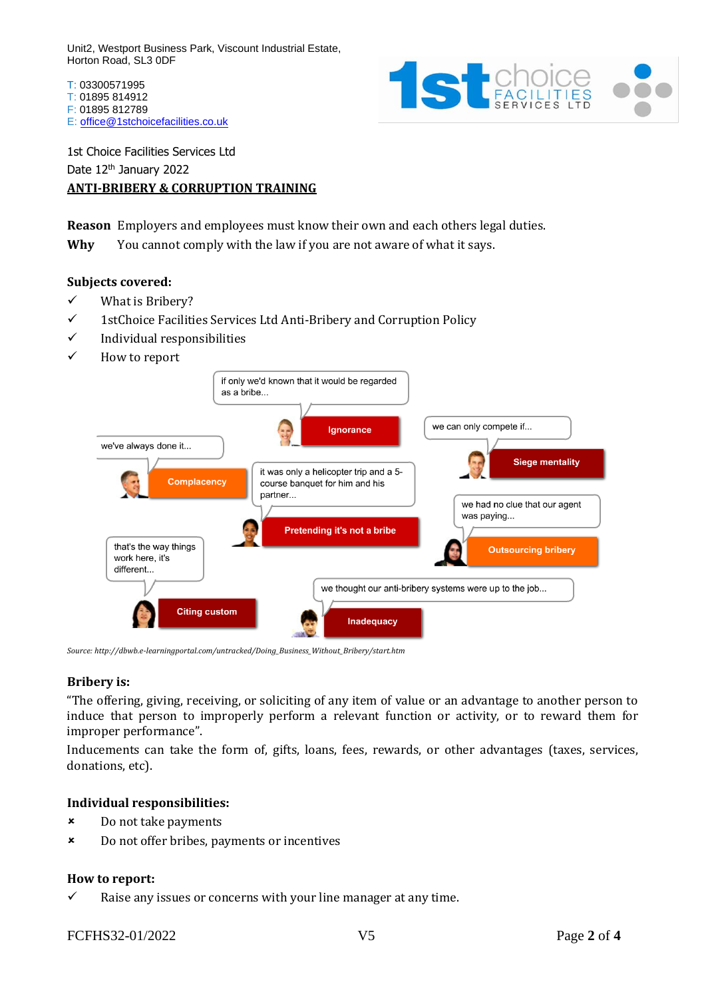T: 03300571995 T: 01895 814912 F: 01895 812789 E: [office@1stchoicefacilities.co.uk](mailto:office@1stchoicefacilities.co.uk)



1st Choice Facilities Services Ltd Date 12<sup>th</sup> January 2022 **ANTI-BRIBERY & CORRUPTION TRAINING**

**Reason** Employers and employees must know their own and each others legal duties.

**Why** You cannot comply with the law if you are not aware of what it says.

## **Subjects covered:**

- ✓ What is Bribery?
- ✓ 1stChoice Facilities Services Ltd Anti-Bribery and Corruption Policy
- ✓ Individual responsibilities
- ✓ How to report



*Source: http://dbwb.e-learningportal.com/untracked/Doing\_Business\_Without\_Bribery/start.htm*

#### **Bribery is:**

"The offering, giving, receiving, or soliciting of any item of value or an advantage to another person to induce that person to improperly perform a relevant function or activity, or to reward them for improper performance".

Inducements can take the form of, gifts, loans, fees, rewards, or other advantages (taxes, services, donations, etc).

### **Individual responsibilities:**

- Do not take payments
- Do not offer bribes, payments or incentives

#### **How to report:**

 $\checkmark$  Raise any issues or concerns with your line manager at any time.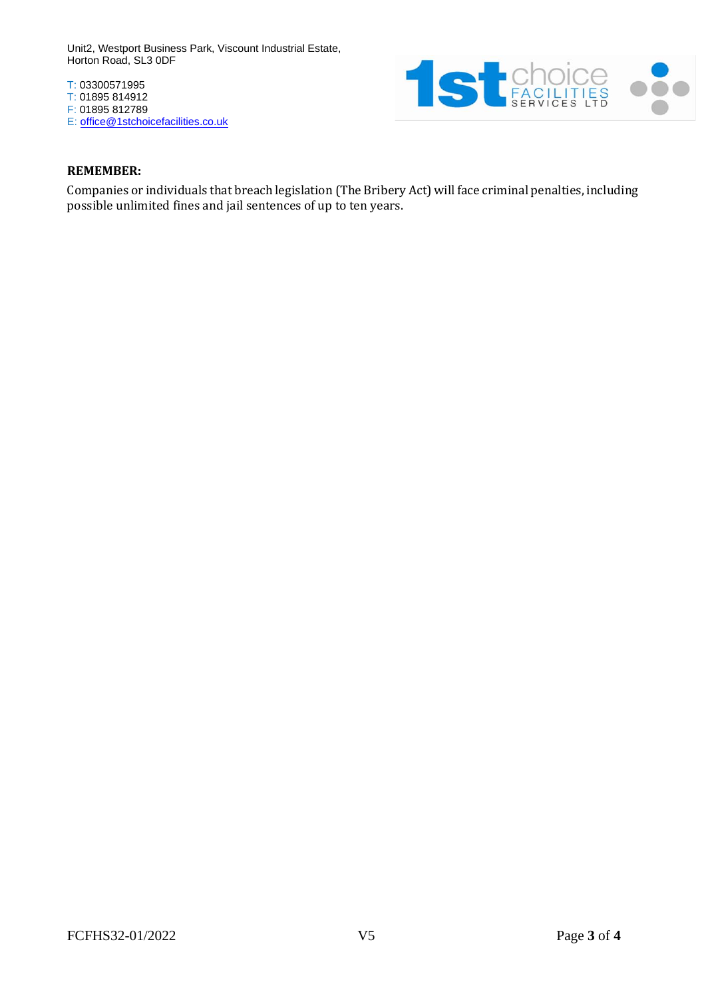T: 03300571995 T: 01895 814912 F: 01895 812789 E: [office@1stchoicefacilities.co.uk](mailto:office@1stchoicefacilities.co.uk)



### **REMEMBER:**

Companies or individuals that breach legislation (The Bribery Act) will face criminal penalties, including possible unlimited fines and jail sentences of up to ten years.